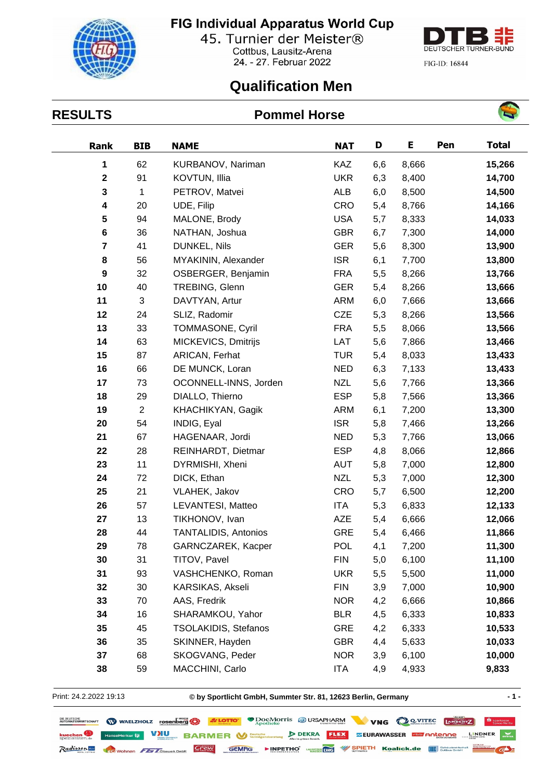## FIG Individual Apparatus World Cup



45. Turnier der Meister® Cottbus, Lausitz-Arena 24. - 27. Februar 2022



FIG-ID: 16844

## **Qualification Men**

#### **RESULTS Pommel Horse**



| Rank                    | <b>BIB</b>     | <b>NAME</b>                                 | <b>NAT</b> | D   | Е      | Pen    | <b>Total</b> |
|-------------------------|----------------|---------------------------------------------|------------|-----|--------|--------|--------------|
| 1                       | 62             | KURBANOV, Nariman                           | KAZ        | 6,6 | 8,666  |        | 15,266       |
| $\mathbf 2$             | 91             | KOVTUN, Illia                               | <b>UKR</b> | 6,3 | 8,400  |        | 14,700       |
| 3                       | 1              | PETROV, Matvei                              | <b>ALB</b> | 6,0 | 8,500  |        | 14,500       |
| 4                       | 20             | UDE, Filip                                  | <b>CRO</b> | 5,4 | 8,766  |        | 14,166       |
| 5                       | 94             | MALONE, Brody                               | <b>USA</b> | 5,7 | 8,333  |        | 14,033       |
| 6                       | 36             | NATHAN, Joshua                              | <b>GBR</b> | 6,7 | 7,300  |        | 14,000       |
| $\overline{\mathbf{r}}$ | 41             | DUNKEL, Nils                                | <b>GER</b> | 5,6 | 8,300  |        | 13,900       |
| 8                       | 56             | MYAKININ, Alexander                         | <b>ISR</b> | 6,1 | 7,700  |        | 13,800       |
| 9                       | 32             | OSBERGER, Benjamin                          | <b>FRA</b> | 5,5 | 8,266  |        | 13,766       |
| 10                      | 40             | TREBING, Glenn                              | <b>GER</b> | 5,4 | 8,266  |        | 13,666       |
| 11                      | 3              | DAVTYAN, Artur                              | <b>ARM</b> | 6,0 | 7,666  |        | 13,666       |
| 12                      | 24             | SLIZ, Radomir                               | <b>CZE</b> | 5,3 | 8,266  |        | 13,566       |
| 13                      | 33             | TOMMASONE, Cyril                            | <b>FRA</b> | 5,5 | 8,066  |        | 13,566       |
| 14                      | 63             | MICKEVICS, Dmitrijs                         | LAT        | 5,6 | 7,866  |        | 13,466       |
| 15                      | 87             | ARICAN, Ferhat                              | <b>TUR</b> | 5,4 | 8,033  |        | 13,433       |
| 16                      | 66             | DE MUNCK, Loran                             | <b>NED</b> | 6,3 | 7,133  |        | 13,433       |
| 17                      | 73             | OCONNELL-INNS, Jorden                       | <b>NZL</b> | 5,6 | 7,766  |        | 13,366       |
| 18                      | 29             | DIALLO, Thierno                             | <b>ESP</b> | 5,8 | 7,566  |        | 13,366       |
| 19                      | $\overline{c}$ | KHACHIKYAN, Gagik                           | ARM        | 6,1 | 7,200  |        | 13,300       |
| 20                      | 54             | INDIG, Eyal                                 | <b>ISR</b> | 5,8 | 7,466  |        | 13,266       |
| 21                      | 67             | HAGENAAR, Jordi<br><b>NED</b>               |            | 5,3 | 7,766  |        | 13,066       |
| 22                      | 28             | REINHARDT, Dietmar                          | <b>ESP</b> | 4,8 | 8,066  | 12,866 |              |
| 23                      | 11             | DYRMISHI, Xheni                             | <b>AUT</b> | 5,8 | 7,000  | 12,800 |              |
| 24                      | 72             | DICK, Ethan<br>NZL<br>7,000<br>5,3          |            |     | 12,300 |        |              |
| 25                      | 21             | <b>CRO</b><br>VLAHEK, Jakov<br>5,7<br>6,500 |            |     |        | 12,200 |              |
| 26                      | 57             | LEVANTESI, Matteo<br>ITA<br>6,833<br>5,3    |            |     | 12,133 |        |              |
| 27                      | 13             | TIKHONOV, Ivan                              | <b>AZE</b> | 5,4 | 6,666  |        | 12,066       |
| 28                      | 44             | <b>TANTALIDIS, Antonios</b>                 | <b>GRE</b> | 5,4 | 6,466  |        | 11,866       |
| 29                      | 78             | GARNCZAREK, Kacper                          | <b>POL</b> | 4,1 | 7,200  |        | 11,300       |
| 30                      | 31             | TITOV, Pavel                                | <b>FIN</b> | 5,0 | 6,100  |        | 11,100       |
| 31                      | 93             | VASHCHENKO, Roman                           | <b>UKR</b> | 5,5 | 5,500  |        | 11,000       |
| 32                      | 30             | KARSIKAS, Akseli                            | <b>FIN</b> | 3,9 | 7,000  |        | 10,900       |
| 33                      | 70             | AAS, Fredrik                                | <b>NOR</b> | 4,2 | 6,666  |        | 10,866       |
| 34                      | 16             | SHARAMKOU, Yahor                            | <b>BLR</b> | 4,5 | 6,333  |        | 10,833       |
| 35                      | 45             | <b>TSOLAKIDIS, Stefanos</b>                 | <b>GRE</b> | 4,2 | 6,333  |        | 10,533       |
| 36                      | 35             | SKINNER, Hayden                             | <b>GBR</b> | 4,4 | 5,633  |        | 10,033       |
| 37                      | 68             | SKOGVANG, Peder                             | <b>NOR</b> | 3,9 | 6,100  |        | 10,000       |
| 38                      | 59             | MACCHINI, Carlo                             | ITA        | 4,9 | 4,933  |        | 9,833        |

Print: 24.2.2022 19:13

**© by Sportlicht GmbH, Summter Str. 81, 12623 Berlin, Germany - 1 -**

| <b>DIE DEUTSCHE TREAD TO SEE LOTTO"</b> WAELZHOLZ rosenberg <sup>6</sup> 3/2 LOTTO" |              | <b>DOCMOTTIS SURSAPHARM</b> |                                                      |  | VNG QOVITEC LANDERTZ                                  | Sparkasse |
|-------------------------------------------------------------------------------------|--------------|-----------------------------|------------------------------------------------------|--|-------------------------------------------------------|-----------|
| <b>kuechen Pansemerkur ij:</b> VIU BARMER V <sup>Deutsche</sup> vermögensberatung   |              |                             | <b>FLEX</b><br>$D$ DEKRA<br>Alles im grünen Bereich. |  | <b>ZEURAWASSER GED ANGENDE WEINDNER TO CHINA</b>      |           |
| Radisson and Corp Wohnen 71 Gloswork GmbH Crew                                      | <b>GEMRG</b> |                             |                                                      |  | INPETHO WE WAS SPIETH Koalick.de III Sebaudewirschaft |           |